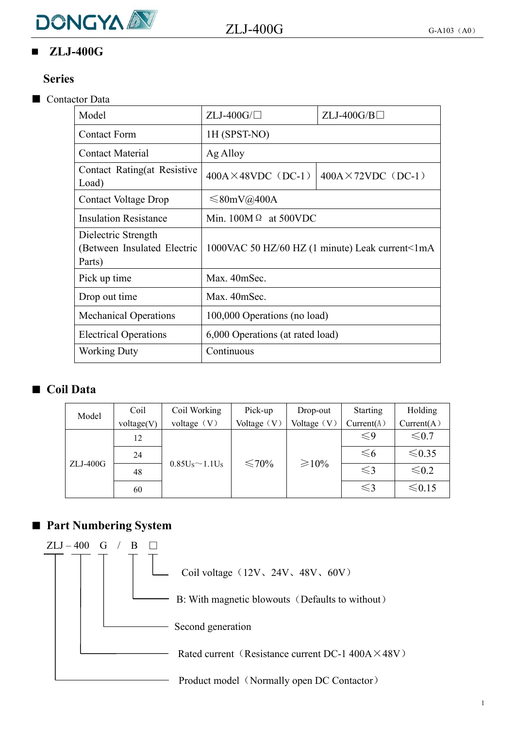

# **ZLJ-400G**

#### **Series**

#### ■ Contactor Data

| Model                                                        | $ZLJ-400G/\Box$                  | $ZLJ-400G/B$                                    |
|--------------------------------------------------------------|----------------------------------|-------------------------------------------------|
| <b>Contact Form</b>                                          | 1H (SPST-NO)                     |                                                 |
| <b>Contact Material</b>                                      | Ag Alloy                         |                                                 |
| Contact Rating(at Resistive<br>Load)                         | $400A \times 48VDC$ (DC-1)       | $400A \times 72VDC$ (DC-1)                      |
| <b>Contact Voltage Drop</b>                                  | $\leq 80$ mV@400A                |                                                 |
| <b>Insulation Resistance</b>                                 | Min. $100M\Omega$ at 500VDC      |                                                 |
| Dielectric Strength<br>(Between Insulated Electric<br>Parts) |                                  | 1000VAC 50 HZ/60 HZ (1 minute) Leak current<1mA |
| Pick up time                                                 | Max. 40mSec.                     |                                                 |
| Drop out time                                                | Max. 40mSec.                     |                                                 |
| <b>Mechanical Operations</b>                                 | 100,000 Operations (no load)     |                                                 |
| <b>Electrical Operations</b>                                 | 6,000 Operations (at rated load) |                                                 |
| <b>Working Duty</b>                                          | Continuous                       |                                                 |
|                                                              |                                  |                                                 |

#### ■ **Coil Data**

| Model      | Coil       | Coil Working          | Pick-up       | Drop-out    | <b>Starting</b> | Holding    |
|------------|------------|-----------------------|---------------|-------------|-----------------|------------|
|            | voltage(V) | voltage $(V)$         | Voltage $(V)$ | Voltage (V) | Current(A)      | Current(A) |
|            | 12         | $0.85U_S \sim 1.1U_S$ | $\leq 70\%$   | $\geq 10\%$ | $\leqslant$ 9   | $\leq 0.7$ |
| $ZLJ-400G$ | 24         |                       |               |             | $\leq 6$        | ≤ $0.35$   |
|            | 48         |                       |               |             | $\leq$ 3        | $\leq 0.2$ |
|            | 60         |                       |               |             | $\leq$ 3        | $≤ 0.15$   |

## ■ **Part Numbering System**

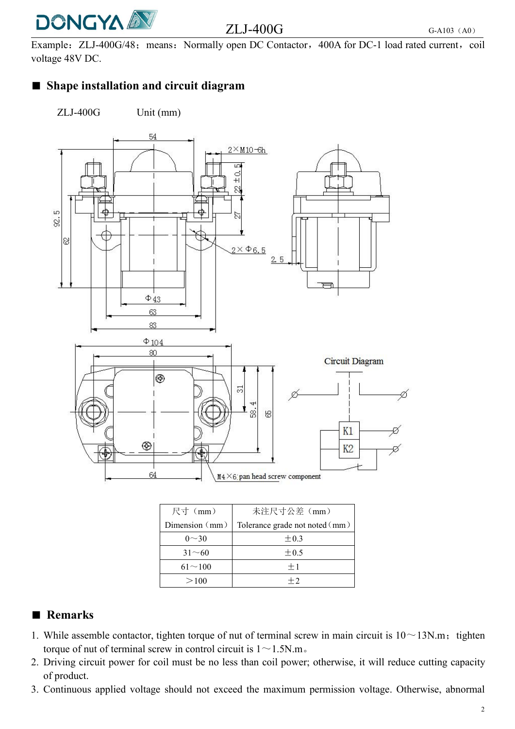

# $ZLJ-400G$  G-A103 (A0)

Example: ZLJ-400G/48; means: Normally open DC Contactor, 400A for DC-1 load rated current, coil voltage 48V DC.

## ■ **Shape installation and circuit diagram**

ZLJ-400G Unit (mm)



| 尺寸 (mm)          | 未注尺寸公差 (mm)                    |
|------------------|--------------------------------|
| Dimension $(mm)$ | Tolerance grade not noted (mm) |
| $0 - 30$         | $\pm 0.3$                      |
| $31 - 60$        | $\pm 0.5$                      |
| $61^{\sim}100$   | $+1$                           |
| >100             | $+2$                           |

## ■ **Remarks**

- 1. While assemble contactor, tighten torque of nut of terminal screw in main circuit is  $10~13N$ .m; tighten torque of nut of terminal screw in control circuit is  $1 \sim 1.5$ N.m.
- 2. Driving circuit power for coil must be no less than coil power; otherwise, it will reduce cutting capacity of product.
- 3. Continuous applied voltage should not exceed the maximum permission voltage. Otherwise, abnormal